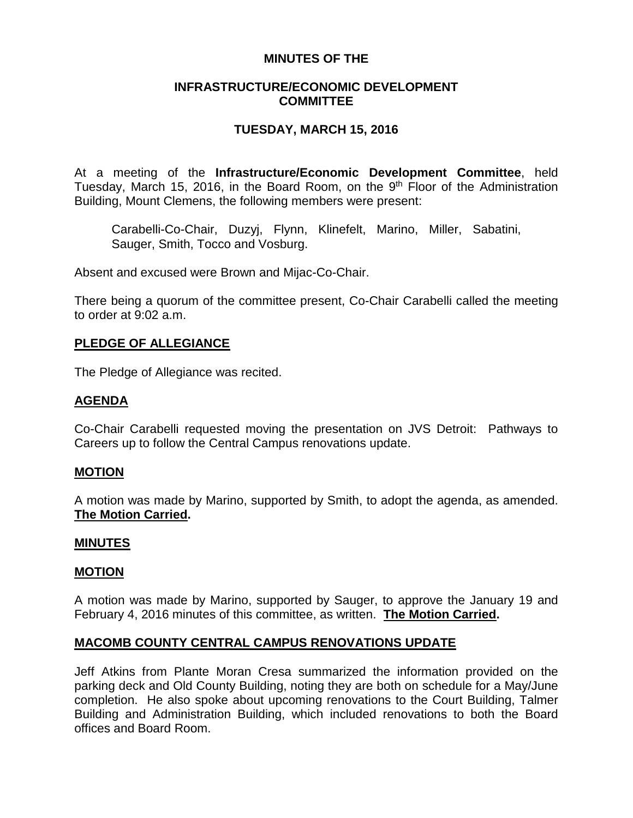### **MINUTES OF THE**

### **INFRASTRUCTURE/ECONOMIC DEVELOPMENT COMMITTEE**

# **TUESDAY, MARCH 15, 2016**

At a meeting of the **Infrastructure/Economic Development Committee**, held Tuesday, March 15, 2016, in the Board Room, on the 9<sup>th</sup> Floor of the Administration Building, Mount Clemens, the following members were present:

Carabelli-Co-Chair, Duzyj, Flynn, Klinefelt, Marino, Miller, Sabatini, Sauger, Smith, Tocco and Vosburg.

Absent and excused were Brown and Mijac-Co-Chair.

There being a quorum of the committee present, Co-Chair Carabelli called the meeting to order at 9:02 a.m.

# **PLEDGE OF ALLEGIANCE**

The Pledge of Allegiance was recited.

### **AGENDA**

Co-Chair Carabelli requested moving the presentation on JVS Detroit: Pathways to Careers up to follow the Central Campus renovations update.

### **MOTION**

A motion was made by Marino, supported by Smith, to adopt the agenda, as amended. **The Motion Carried.**

#### **MINUTES**

### **MOTION**

A motion was made by Marino, supported by Sauger, to approve the January 19 and February 4, 2016 minutes of this committee, as written. **The Motion Carried.**

# **MACOMB COUNTY CENTRAL CAMPUS RENOVATIONS UPDATE**

Jeff Atkins from Plante Moran Cresa summarized the information provided on the parking deck and Old County Building, noting they are both on schedule for a May/June completion. He also spoke about upcoming renovations to the Court Building, Talmer Building and Administration Building, which included renovations to both the Board offices and Board Room.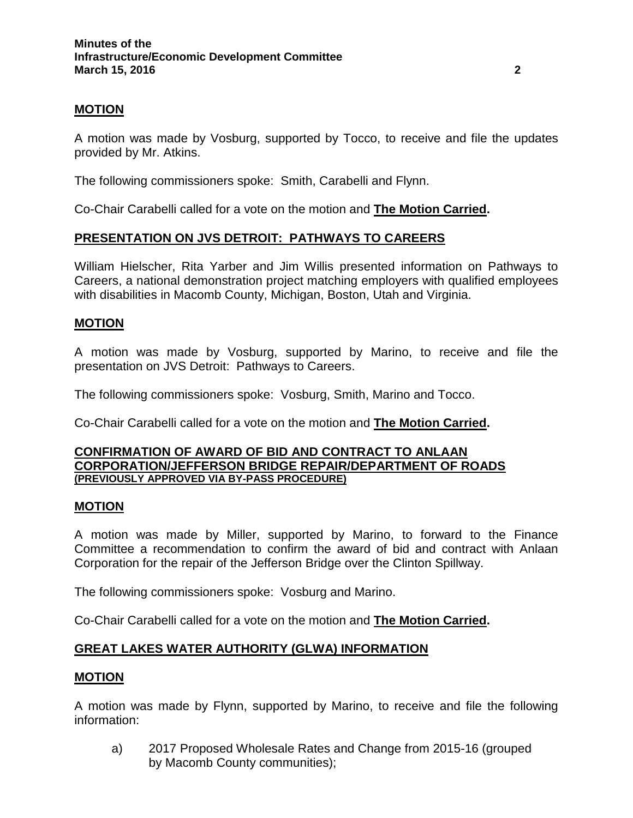# **MOTION**

A motion was made by Vosburg, supported by Tocco, to receive and file the updates provided by Mr. Atkins.

The following commissioners spoke: Smith, Carabelli and Flynn.

Co-Chair Carabelli called for a vote on the motion and **The Motion Carried.**

# **PRESENTATION ON JVS DETROIT: PATHWAYS TO CAREERS**

William Hielscher, Rita Yarber and Jim Willis presented information on Pathways to Careers, a national demonstration project matching employers with qualified employees with disabilities in Macomb County, Michigan, Boston, Utah and Virginia.

# **MOTION**

A motion was made by Vosburg, supported by Marino, to receive and file the presentation on JVS Detroit: Pathways to Careers.

The following commissioners spoke: Vosburg, Smith, Marino and Tocco.

Co-Chair Carabelli called for a vote on the motion and **The Motion Carried.**

#### **CONFIRMATION OF AWARD OF BID AND CONTRACT TO ANLAAN CORPORATION/JEFFERSON BRIDGE REPAIR/DEPARTMENT OF ROADS (PREVIOUSLY APPROVED VIA BY-PASS PROCEDURE)**

### **MOTION**

A motion was made by Miller, supported by Marino, to forward to the Finance Committee a recommendation to confirm the award of bid and contract with Anlaan Corporation for the repair of the Jefferson Bridge over the Clinton Spillway.

The following commissioners spoke: Vosburg and Marino.

Co-Chair Carabelli called for a vote on the motion and **The Motion Carried.**

# **GREAT LAKES WATER AUTHORITY (GLWA) INFORMATION**

### **MOTION**

A motion was made by Flynn, supported by Marino, to receive and file the following information:

a) 2017 Proposed Wholesale Rates and Change from 2015-16 (grouped by Macomb County communities);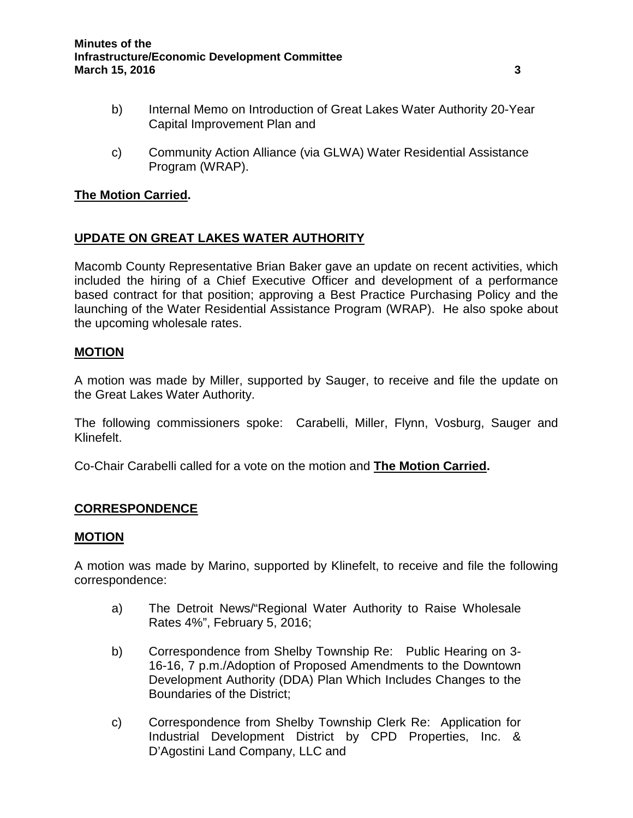- b) Internal Memo on Introduction of Great Lakes Water Authority 20-Year Capital Improvement Plan and
- c) Community Action Alliance (via GLWA) Water Residential Assistance Program (WRAP).

# **The Motion Carried.**

# **UPDATE ON GREAT LAKES WATER AUTHORITY**

Macomb County Representative Brian Baker gave an update on recent activities, which included the hiring of a Chief Executive Officer and development of a performance based contract for that position; approving a Best Practice Purchasing Policy and the launching of the Water Residential Assistance Program (WRAP). He also spoke about the upcoming wholesale rates.

### **MOTION**

A motion was made by Miller, supported by Sauger, to receive and file the update on the Great Lakes Water Authority.

The following commissioners spoke: Carabelli, Miller, Flynn, Vosburg, Sauger and Klinefelt.

Co-Chair Carabelli called for a vote on the motion and **The Motion Carried.**

# **CORRESPONDENCE**

### **MOTION**

A motion was made by Marino, supported by Klinefelt, to receive and file the following correspondence:

- a) The Detroit News/"Regional Water Authority to Raise Wholesale Rates 4%", February 5, 2016;
- b) Correspondence from Shelby Township Re: Public Hearing on 3- 16-16, 7 p.m./Adoption of Proposed Amendments to the Downtown Development Authority (DDA) Plan Which Includes Changes to the Boundaries of the District;
- c) Correspondence from Shelby Township Clerk Re: Application for Industrial Development District by CPD Properties, Inc. & D'Agostini Land Company, LLC and